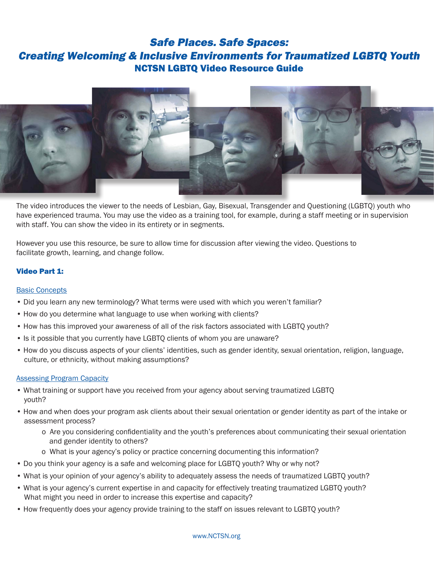# Safe Places. Safe Spaces: Creating Welcoming & Inclusive Environments for Traumatized LGBTQ Youth NCTSN LGBTQ Video Resource Guide



The video introduces the viewer to the needs of Lesbian, Gay, Bisexual, Transgender and Questioning (LGBTQ) youth who have experienced trauma. You may use the video as a training tool, for example, during a staff meeting or in supervision with staff. You can show the video in its entirety or in segments.

However you use this resource, be sure to allow time for discussion after viewing the video. Questions to facilitate growth, learning, and change follow.

# Video Part 1:

## Basic Concepts

- Did you learn any new terminology? What terms were used with which you weren't familiar?
- How do you determine what language to use when working with clients?
- How has this improved your awareness of all of the risk factors associated with LGBTQ youth?
- Is it possible that you currently have LGBTQ clients of whom you are unaware?
- How do you discuss aspects of your clients' identities, such as gender identity, sexual orientation, religion, language, culture, or ethnicity, without making assumptions?

## Assessing Program Capacity

- What training or support have you received from your agency about serving traumatized LGBTQ youth?
- How and when does your program ask clients about their sexual orientation or gender identity as part of the intake or assessment process?
	- o Are you considering confidentiality and the youth's preferences about communicating their sexual orientation and gender identity to others?
	- o What is your agency's policy or practice concerning documenting this information?
- Do you think your agency is a safe and welcoming place for LGBTQ youth? Why or why not?
- What is your opinion of your agency's ability to adequately assess the needs of traumatized LGBTQ youth?
- What is your agency's current expertise in and capacity for effectively treating traumatized LGBTQ youth? What might you need in order to increase this expertise and capacity?
- How frequently does your agency provide training to the staff on issues relevant to LGBTQ youth?

#### www.NCTSN.org